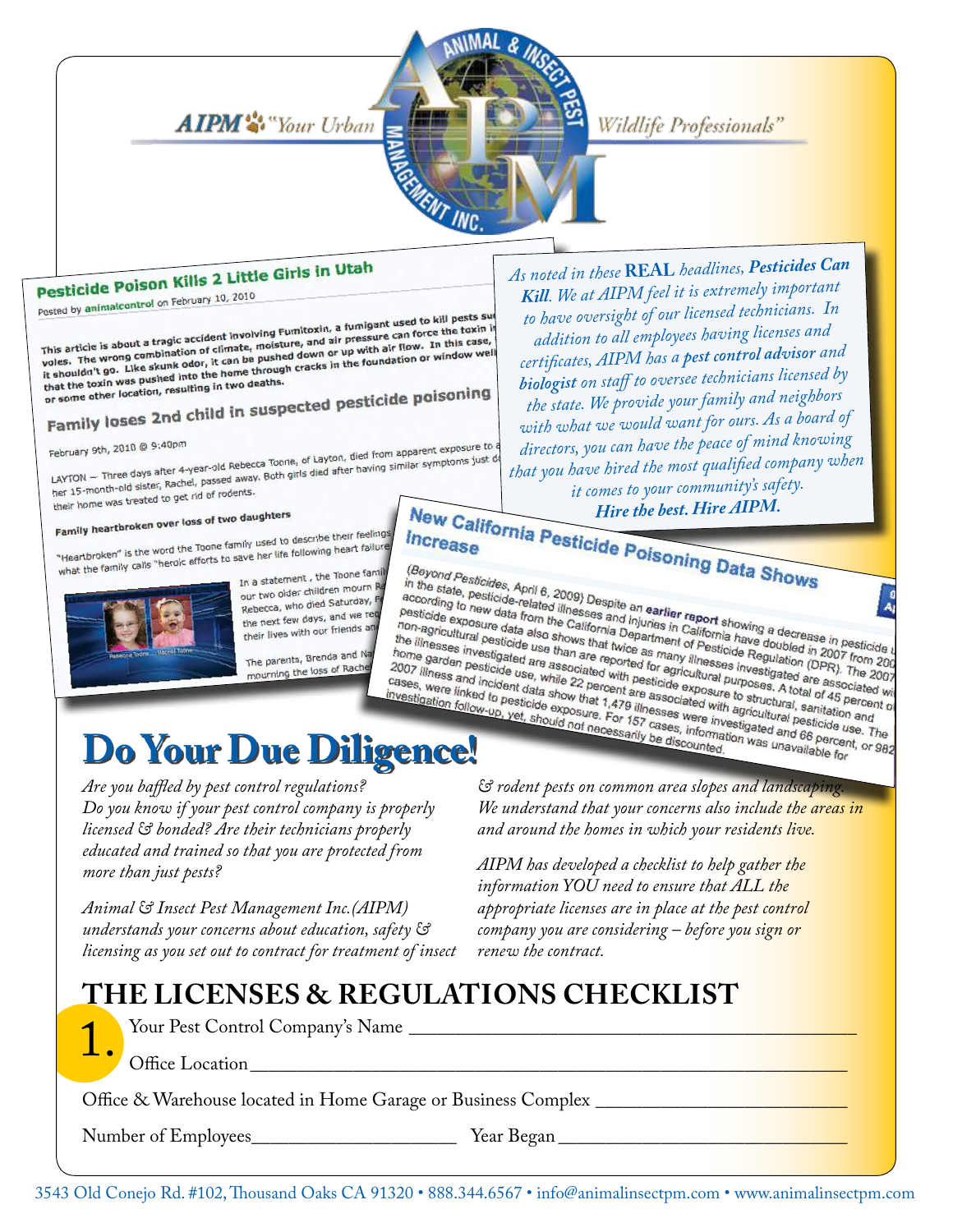AIPM<sup>3</sup> Your Urban **REACTES** MENT INC.

# Wildlife Professionals"

# Pesticide Poison Kills 2 Little Girls in Utah

Pesticide POISON November 2010

Posted by animalcontrol of February<br>This article is about a tragic accident involving Fumitoxin, a fumigant used to kill pests surf<br>This article is about a tragic accident involving Fumitoxin, a fumigant used force the tox This article is about a tragic accident involving Fumitoxin, a fumigant used to kill pests sue<br>voles. The wrong combination of climate, moisture, and air pressure can force the toxin is<br>voles. The wrong combination of clim This article is about a tragic accident involving Fumitoxin, a taking the foxing<br>voles. The wrong combination of climate, moisture, and air pressure can force the toxing<br>the shouldn't go. Like skunk odor, it can be pushed This article is about a tragic according to diffinite, moisture, and air properties. In this case,<br>voles. The wrong combination of climate, moisture, and air pu with air flow. In this case,<br>it shouldn't go. Like skunk odor the shouldn't you.<br>that the toxin was pushed into the home through<br>or some other location, resulting in two deaths.

that the toxin was pushed in two deaths.<br>or some other location, resulting in two deaths.<br>Family loses 2nd child in suspected pesticide poisoning

February 9th, 2010 @ 9:40pm

February 9th, 2010 @ 9:40pm<br>LAYTON — Three days after 4-year-old Rebecca Toone, of Layton, died from apparent exposure to February 9th, 2010 @ 9:49pm<br>LAYTON — Three days after 4-year-old Rebecca Toone, of Layton, died from apparent exposure to or<br>LAYTON — Three days after 4-year-old Rebecca Toone, of Layton, died after having similar symptoms her 15-month-old sister, Rachel, passed diver<br>their home was treated to get rid of rodents.

# their home was decomed.<br>Family heartbroken over loss of two daughters

Family heartbroken over loss of the family used to describe their feelings<br>"Heartbroken" is the word the Toone family used to describe their failure "Heartbroken" is the word the Toone family used to describe their reems."<br>"Heartbroken" is the word the Toone family calls "heroic efforts to save her life following heart failure"



In a statement, the Toone family our two older children mourn R our two older children mount Rebecca, who died Succession<br>the next few days, and we red the next few days, and their lives with our friends and

The parents, Brenda and N The parents, brends and

*As noted in these* **REAL** *headlines, Pesticides Can Kill. We at AIPM feel it is extremely important to have oversight of our licensed technicians. In addition to all employees having licenses an<sup>d</sup> certificates, AIPM has a pest control advisor and biologist on staff to oversee technicians licensed by the state. We provide your family and neighbors with what we would want for ours. As a board of directors, you can have the peace of mind knowing that you have hired the most qualified company when it comes to your community's safety.* 

**New California Pesticide Poisoning Data Shows** 

(Beyond Pesticides, April 6, 2009) Despite an earlier report showing Data Shows<br>according to new data from the California and injuries in California have decrease in pesticide-<br>non-agricultural exposure data also shows tha (Beyond Pesticides, April 6, 2009) Despite an earlier report showing a decrease in pesticide-<br>pesticide-related illnesses and injuries in California have doubled as<br>positive exposure data from the California have doubled a in the state, pesticides, April 6, 2009) Despite an earlier report<br>according to new data from the California bearlier report showing a decrease in pesticide<br>non-agricultural pesticide use than are reported in California ha according to new data from the California and earlier report showing a decrease in pesticide<br>pesticide exposure data from the California Department of Pesticide and ecrease in pesticide<br>the illnesses investigated use than pesticide exposure data from the California Department since alternation and<br>non-agricultural pesticide and injuries in California have decrease in pesticide<br>the illnesses investigated are associated with twice as many ill The parents, Brenda and National Priori of Backle and Cases, were linked to the parent data show that 1,479 illnesses and with a gridual with a gridual with a gridual with a gridual of the cases, were linked to pesticide e

*Are you baffled by pest control regulations? Do you know if your pest control company is properly licensed & bonded? Are their technicians properly educated and trained so that you are protected from more than just pests?* 

*Animal & Insect Pest Management Inc.(AIPM) understands your concerns about education, safety & licensing as you set out to contract for treatment of insect*  *& rodent pests on common area slopes and landscaping. We understand that your concerns also include the areas in and around the homes in which your residents live.*

*AIPM has developed a checklist to help gather the information YOU need to ensure that ALL the appropriate licenses are in place at the pest control company you are considering – before you sign or renew the contract.* 

# **THE Licenses & Regulations CHECKLIST**



Office Location

Office & Warehouse located in Home Garage or Business Complex \_\_\_\_\_\_\_\_\_\_\_\_\_\_\_\_\_\_

Your Pest Control Company's Name

Number of Employees\_\_\_\_\_\_\_\_\_\_\_\_\_\_\_\_\_\_\_\_\_\_ Year Began \_\_\_\_\_\_\_\_\_\_\_\_\_\_\_\_\_\_\_\_\_\_\_\_\_\_\_\_\_\_\_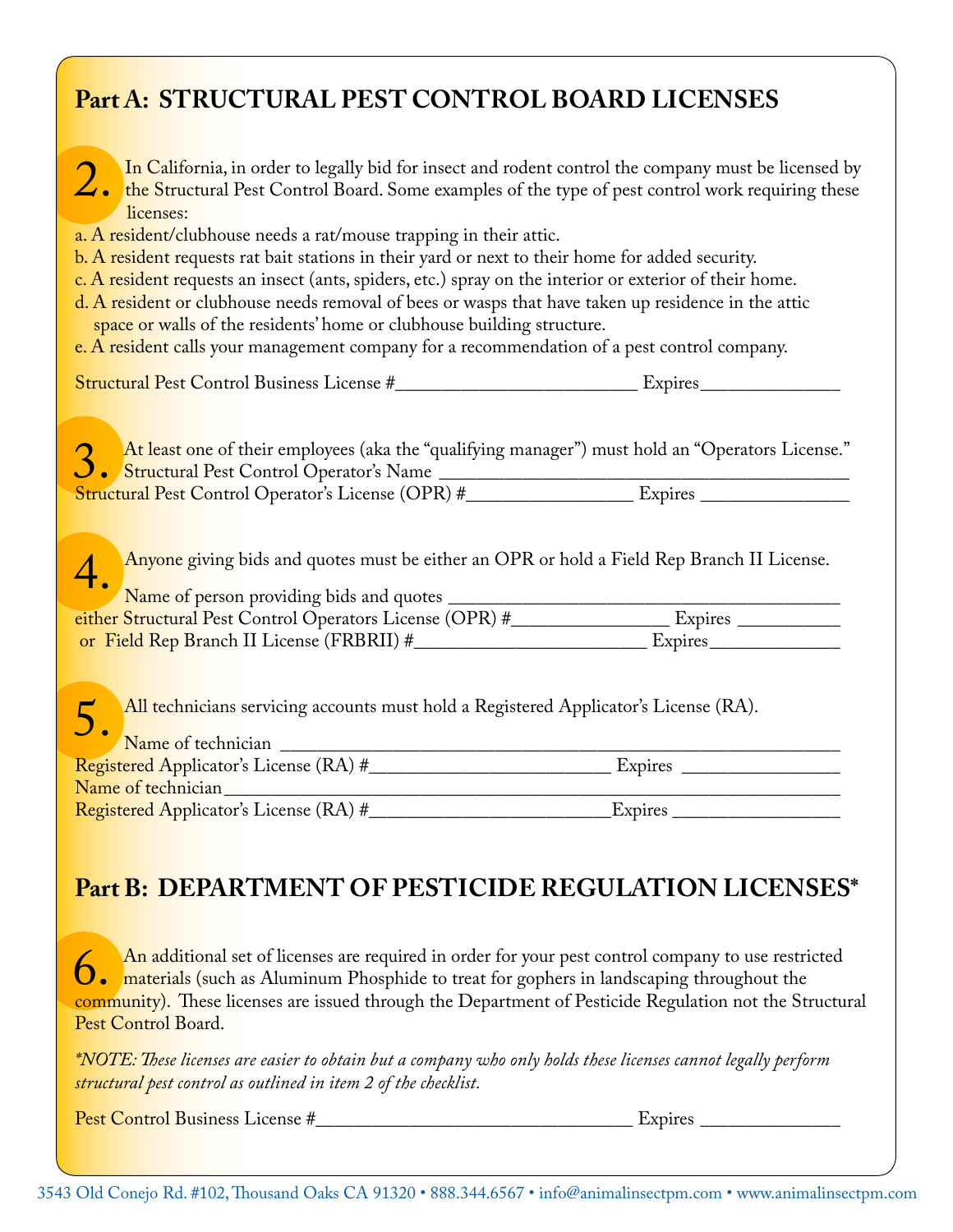# **Part A: STRUCTURAL PEST CONTROL BOARD LICENSES**

| In California, in order to legally bid for insect and rodent control the company must be licensed by<br>the Structural Pest Control Board. Some examples of the type of pest control work requiring these<br>licenses:                                                                                                                                                                                                                                                                                                                                            |  |
|-------------------------------------------------------------------------------------------------------------------------------------------------------------------------------------------------------------------------------------------------------------------------------------------------------------------------------------------------------------------------------------------------------------------------------------------------------------------------------------------------------------------------------------------------------------------|--|
| a. A resident/clubhouse needs a rat/mouse trapping in their attic.<br>b. A resident requests rat bait stations in their yard or next to their home for added security.<br>c. A resident requests an insect (ants, spiders, etc.) spray on the interior or exterior of their home.<br>d. A resident or clubhouse needs removal of bees or wasps that have taken up residence in the attic<br>space or walls of the residents' home or clubhouse building structure.<br>e. A resident calls your management company for a recommendation of a pest control company. |  |
|                                                                                                                                                                                                                                                                                                                                                                                                                                                                                                                                                                   |  |
| At least one of their employees (aka the "qualifying manager") must hold an "Operators License."                                                                                                                                                                                                                                                                                                                                                                                                                                                                  |  |
| Anyone giving bids and quotes must be either an OPR or hold a Field Rep Branch II License.                                                                                                                                                                                                                                                                                                                                                                                                                                                                        |  |
|                                                                                                                                                                                                                                                                                                                                                                                                                                                                                                                                                                   |  |
| All technicians servicing accounts must hold a Registered Applicator's License (RA).<br>$5.$ Name of technician $\frac{1}{2}$ $\frac{1}{2}$ $\frac{1}{2}$ $\frac{1}{2}$ $\frac{1}{2}$ $\frac{1}{2}$ $\frac{1}{2}$ $\frac{1}{2}$ $\frac{1}{2}$ $\frac{1}{2}$ $\frac{1}{2}$ $\frac{1}{2}$ $\frac{1}{2}$ $\frac{1}{2}$ $\frac{1}{2}$ $\frac{1}{2}$ $\frac{1}{2}$ $\frac{1}{2}$ $\frac{1}{2}$ $\frac{1}{2$                                                                                                                                                            |  |
|                                                                                                                                                                                                                                                                                                                                                                                                                                                                                                                                                                   |  |
| Name of technician<br><u> 1989 - Jan James James, politik eta idazlear</u>                                                                                                                                                                                                                                                                                                                                                                                                                                                                                        |  |
| Part B: DEPARTMENT OF PESTICIDE REGULATION LICENSES*                                                                                                                                                                                                                                                                                                                                                                                                                                                                                                              |  |
| An additional set of licenses are required in order for your pest control company to use restricted<br>An additional set of inclusion are required in Execution of the St. and the St.<br>community). These licenses are issued through the Department of Pesticide Regulation not the Structural                                                                                                                                                                                                                                                                 |  |

*\*NOTE: These licenses are easier to obtain but a company who only holds these licenses cannot legally perform structural pest control as outlined in item 2 of the checklist.* 

Pest Control Business License #\_\_\_\_\_\_\_\_\_\_\_\_\_\_\_\_\_\_\_\_\_\_\_\_\_\_\_\_\_\_\_\_\_\_ Expires \_\_\_\_\_\_\_\_\_\_\_\_\_\_\_

Pest Control Board.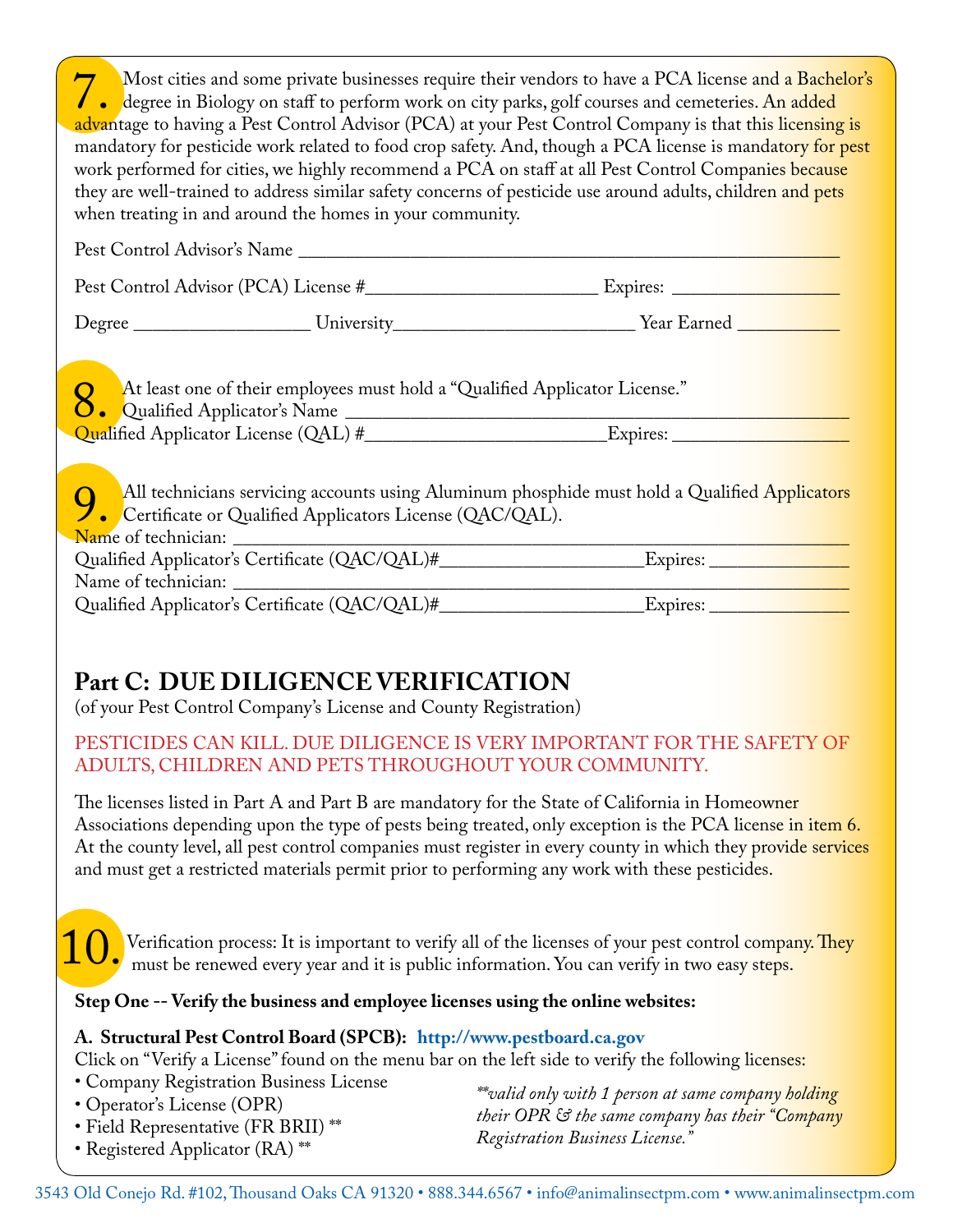Most cities and some private businesses require their vendors to have a PCA license and a Bachelor's<br>degree in Biology on staff to perform work on city parks, golf courses and cemeteries. An added<br>advantage to having a Pes degree in Biology on staff to perform work on city parks, golf courses and cemeteries. An added advantage to having a Pest Control Advisor (PCA) at your Pest Control Company is that thi<mark>s licensing is</mark> mandatory for pesticide work related to food crop safety. And, though a PCA license is mandatory for pest work performed for cities, we highly recommend a PCA on staff at all Pest Control Companies because they are well-trained to address similar safety concerns of pesticide use around adults, children and pets when treating in and around the homes in your community.

| Pest Control Advisor's Name |                                                                                                                                                                                                                                            |
|-----------------------------|--------------------------------------------------------------------------------------------------------------------------------------------------------------------------------------------------------------------------------------------|
|                             |                                                                                                                                                                                                                                            |
|                             |                                                                                                                                                                                                                                            |
|                             | 8. At least one of their employees must hold a "Qualified Applicator License."<br>All technicians servicing accounts using Aluminum phosphide must hold a Qualified Applicators<br>Certificate or Qualified Applicators License (QAC/QAL). |
|                             |                                                                                                                                                                                                                                            |
|                             |                                                                                                                                                                                                                                            |

# **Part C: DUE DILIGENCE VERIFICATION**

(of your Pest Control Company's License and County Registration)

## PESTICIDES CAN KILL. DUE DILIGENCE IS VERY IMPORTANT FOR THE SAFETY OF ADULTS, CHILDREN AND PETS THROUGHOUT YOUR COMMUNITY.

The licenses listed in Part A and Part B are mandatory for the State of California in Homeowner Associations depending upon the type of pests being treated, only exception is the PCA license in item 6. At the county level, all pest control companies must register in every county in which they provide services and must get a restricted materials permit prior to performing any work with these pesticides.

Verification process: It is important to verify all of the licenses of your pest control company. They U. Verification process: It is important to verify all of the licenses of your pest control comparison. You can verify in two easy steps.

**Step One -- Verify the business and employee licenses using the online websites:**

### **A. Structural Pest Control Board (SPCB): http://www.pestboard.ca.gov**

Click on "Verify a License" found on the menu bar on the left side to verify the following licenses:

- Company Registration Business License
- Operator's License (OPR)
- Field Representative (FR BRII) \*\*
- Registered Applicator (RA) \*\*

*\*\*valid only with 1 person at same company holding their OPR & the same company has their "Company Registration Business License."*